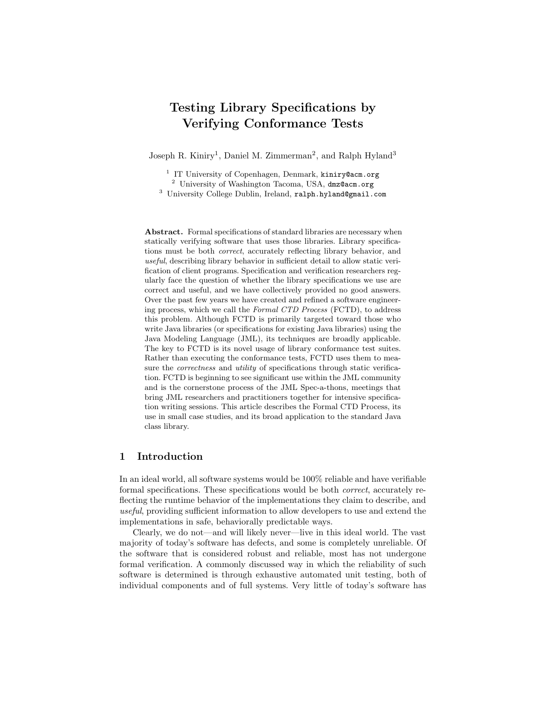# Testing Library Specifications by Verifying Conformance Tests

Joseph R. Kiniry<sup>1</sup>, Daniel M. Zimmerman<sup>2</sup>, and Ralph Hyland<sup>3</sup>

<sup>1</sup> IT University of Copenhagen, Denmark, kiniry@acm.org

 $2$  University of Washington Tacoma, USA, dmz@acm.org

<sup>3</sup> University College Dublin, Ireland, ralph.hyland@gmail.com

Abstract. Formal specifications of standard libraries are necessary when statically verifying software that uses those libraries. Library specifications must be both correct, accurately reflecting library behavior, and useful, describing library behavior in sufficient detail to allow static verification of client programs. Specification and verification researchers regularly face the question of whether the library specifications we use are correct and useful, and we have collectively provided no good answers. Over the past few years we have created and refined a software engineering process, which we call the Formal CTD Process (FCTD), to address this problem. Although FCTD is primarily targeted toward those who write Java libraries (or specifications for existing Java libraries) using the Java Modeling Language (JML), its techniques are broadly applicable. The key to FCTD is its novel usage of library conformance test suites. Rather than executing the conformance tests, FCTD uses them to measure the *correctness* and *utility* of specifications through static verification. FCTD is beginning to see significant use within the JML community and is the cornerstone process of the JML Spec-a-thons, meetings that bring JML researchers and practitioners together for intensive specification writing sessions. This article describes the Formal CTD Process, its use in small case studies, and its broad application to the standard Java class library.

## 1 Introduction

In an ideal world, all software systems would be 100% reliable and have verifiable formal specifications. These specifications would be both correct, accurately reflecting the runtime behavior of the implementations they claim to describe, and useful, providing sufficient information to allow developers to use and extend the implementations in safe, behaviorally predictable ways.

Clearly, we do not—and will likely never—live in this ideal world. The vast majority of today's software has defects, and some is completely unreliable. Of the software that is considered robust and reliable, most has not undergone formal verification. A commonly discussed way in which the reliability of such software is determined is through exhaustive automated unit testing, both of individual components and of full systems. Very little of today's software has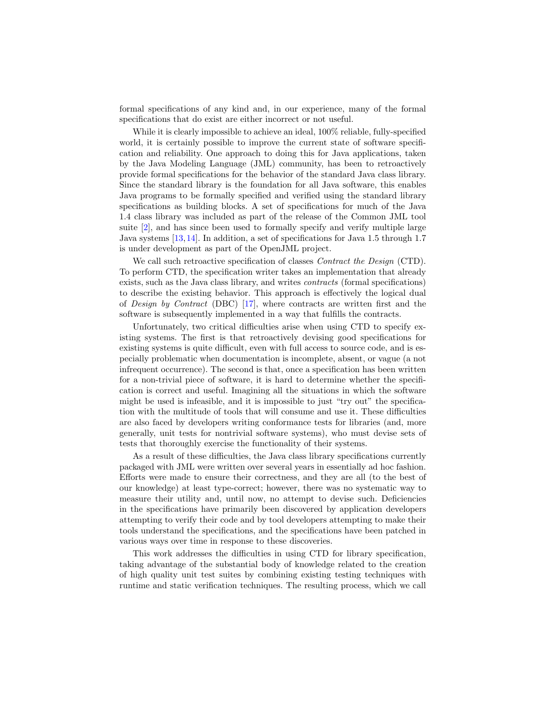formal specifications of any kind and, in our experience, many of the formal specifications that do exist are either incorrect or not useful.

While it is clearly impossible to achieve an ideal, 100% reliable, fully-specified world, it is certainly possible to improve the current state of software specification and reliability. One approach to doing this for Java applications, taken by the Java Modeling Language (JML) community, has been to retroactively provide formal specifications for the behavior of the standard Java class library. Since the standard library is the foundation for all Java software, this enables Java programs to be formally specified and verified using the standard library specifications as building blocks. A set of specifications for much of the Java 1.4 class library was included as part of the release of the Common JML tool suite [\[2\]](#page-14-0), and has since been used to formally specify and verify multiple large Java systems [\[13,](#page-15-0)[14\]](#page-15-1). In addition, a set of specifications for Java 1.5 through 1.7 is under development as part of the OpenJML project.

We call such retroactive specification of classes *Contract the Design* (CTD). To perform CTD, the specification writer takes an implementation that already exists, such as the Java class library, and writes contracts (formal specifications) to describe the existing behavior. This approach is effectively the logical dual of Design by Contract (DBC) [\[17\]](#page-15-2), where contracts are written first and the software is subsequently implemented in a way that fulfills the contracts.

Unfortunately, two critical difficulties arise when using CTD to specify existing systems. The first is that retroactively devising good specifications for existing systems is quite difficult, even with full access to source code, and is especially problematic when documentation is incomplete, absent, or vague (a not infrequent occurrence). The second is that, once a specification has been written for a non-trivial piece of software, it is hard to determine whether the specification is correct and useful. Imagining all the situations in which the software might be used is infeasible, and it is impossible to just "try out" the specification with the multitude of tools that will consume and use it. These difficulties are also faced by developers writing conformance tests for libraries (and, more generally, unit tests for nontrivial software systems), who must devise sets of tests that thoroughly exercise the functionality of their systems.

As a result of these difficulties, the Java class library specifications currently packaged with JML were written over several years in essentially ad hoc fashion. Efforts were made to ensure their correctness, and they are all (to the best of our knowledge) at least type-correct; however, there was no systematic way to measure their utility and, until now, no attempt to devise such. Deficiencies in the specifications have primarily been discovered by application developers attempting to verify their code and by tool developers attempting to make their tools understand the specifications, and the specifications have been patched in various ways over time in response to these discoveries.

This work addresses the difficulties in using CTD for library specification, taking advantage of the substantial body of knowledge related to the creation of high quality unit test suites by combining existing testing techniques with runtime and static verification techniques. The resulting process, which we call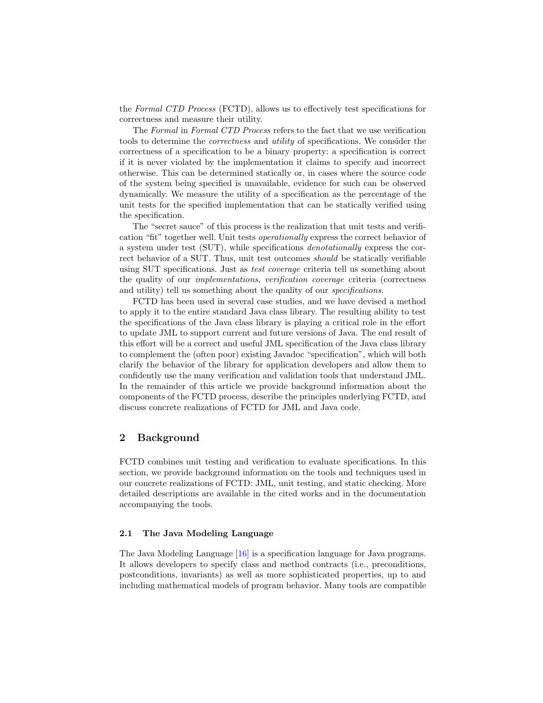the Formal CTD Process (FCTD), allows us to effectively test specifications for correctness and measure their utility.

The Formal in Formal CTD Process refers to the fact that we use verification tools to determine the correctness and utility of specifications. We consider the correctness of a specification to be a binary property: a specification is correct if it is never violated by the implementation it claims to specify and incorrect otherwise. This can be determined statically or, in cases where the source code of the system being specified is unavailable, evidence for such can be observed dynamically. We measure the utility of a specification as the percentage of the unit tests for the specified implementation that can be statically verified using the specification.

The "secret sauce" of this process is the realization that unit tests and verification "fit" together well. Unit tests operationally express the correct behavior of a system under test (SUT), while specifications denotationally express the correct behavior of a SUT. Thus, unit test outcomes should be statically verifiable using SUT specifications. Just as test coverage criteria tell us something about the quality of our implementations, verification coverage criteria (correctness and utility) tell us something about the quality of our specifications.

FCTD has been used in several case studies, and we have devised a method to apply it to the entire standard Java class library. The resulting ability to test the specifications of the Java class library is playing a critical role in the effort to update JML to support current and future versions of Java. The end result of this effort will be a correct and useful JML specification of the Java class library to complement the (often poor) existing Javadoc "specification", which will both clarify the behavior of the library for application developers and allow them to confidently use the many verification and validation tools that understand JML. In the remainder of this article we provide background information about the components of the FCTD process, describe the principles underlying FCTD, and discuss concrete realizations of FCTD for JML and Java code.

# 2 Background

FCTD combines unit testing and verification to evaluate specifications. In this section, we provide background information on the tools and techniques used in our concrete realizations of FCTD: JML, unit testing, and static checking. More detailed descriptions are available in the cited works and in the documentation accompanying the tools.

#### 2.1 The Java Modeling Language

The Java Modeling Language [\[16\]](#page-15-3) is a specification language for Java programs. It allows developers to specify class and method contracts (i.e., preconditions, postconditions, invariants) as well as more sophisticated properties, up to and including mathematical models of program behavior. Many tools are compatible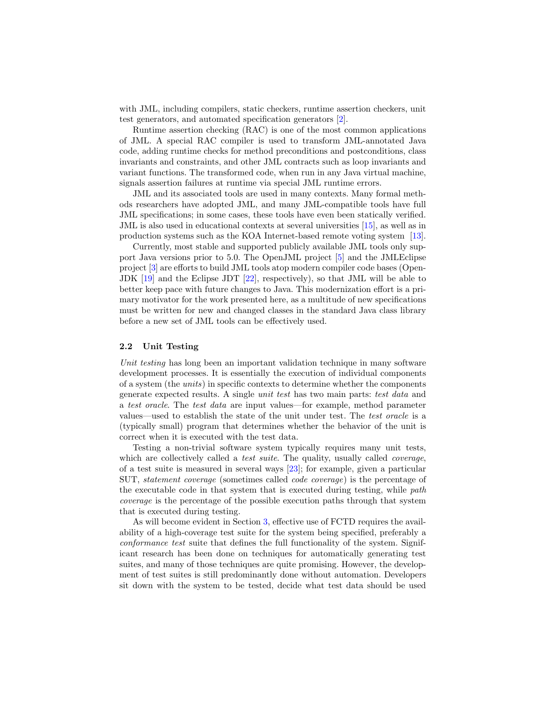with JML, including compilers, static checkers, runtime assertion checkers, unit test generators, and automated specification generators [\[2\]](#page-14-0).

Runtime assertion checking (RAC) is one of the most common applications of JML. A special RAC compiler is used to transform JML-annotated Java code, adding runtime checks for method preconditions and postconditions, class invariants and constraints, and other JML contracts such as loop invariants and variant functions. The transformed code, when run in any Java virtual machine, signals assertion failures at runtime via special JML runtime errors.

JML and its associated tools are used in many contexts. Many formal methods researchers have adopted JML, and many JML-compatible tools have full JML specifications; in some cases, these tools have even been statically verified. JML is also used in educational contexts at several universities [\[15\]](#page-15-4), as well as in production systems such as the KOA Internet-based remote voting system [\[13\]](#page-15-0).

Currently, most stable and supported publicly available JML tools only support Java versions prior to 5.0. The OpenJML project [\[5\]](#page-15-5) and the JMLEclipse project [\[3\]](#page-14-1) are efforts to build JML tools atop modern compiler code bases (Open-JDK [\[19\]](#page-15-6) and the Eclipse JDT [\[22\]](#page-15-7), respectively), so that JML will be able to better keep pace with future changes to Java. This modernization effort is a primary motivator for the work presented here, as a multitude of new specifications must be written for new and changed classes in the standard Java class library before a new set of JML tools can be effectively used.

### 2.2 Unit Testing

Unit testing has long been an important validation technique in many software development processes. It is essentially the execution of individual components of a system (the units) in specific contexts to determine whether the components generate expected results. A single unit test has two main parts: test data and a test oracle. The test data are input values—for example, method parameter values—used to establish the state of the unit under test. The test oracle is a (typically small) program that determines whether the behavior of the unit is correct when it is executed with the test data.

Testing a non-trivial software system typically requires many unit tests, which are collectively called a *test suite*. The quality, usually called *coverage*, of a test suite is measured in several ways  $[23]$ ; for example, given a particular SUT, statement coverage (sometimes called code coverage) is the percentage of the executable code in that system that is executed during testing, while path coverage is the percentage of the possible execution paths through that system that is executed during testing.

As will become evident in Section [3,](#page-5-0) effective use of FCTD requires the availability of a high-coverage test suite for the system being specified, preferably a conformance test suite that defines the full functionality of the system. Significant research has been done on techniques for automatically generating test suites, and many of those techniques are quite promising. However, the development of test suites is still predominantly done without automation. Developers sit down with the system to be tested, decide what test data should be used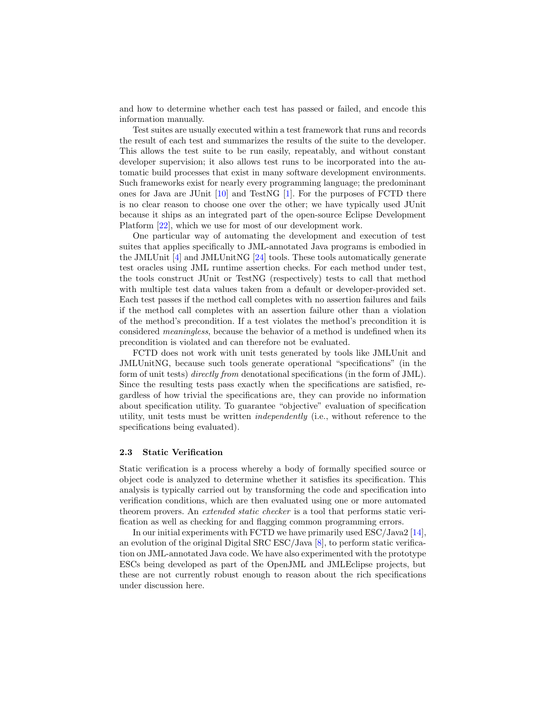and how to determine whether each test has passed or failed, and encode this information manually.

Test suites are usually executed within a test framework that runs and records the result of each test and summarizes the results of the suite to the developer. This allows the test suite to be run easily, repeatably, and without constant developer supervision; it also allows test runs to be incorporated into the automatic build processes that exist in many software development environments. Such frameworks exist for nearly every programming language; the predominant ones for Java are JUnit  $[10]$  and TestNG  $[1]$ . For the purposes of FCTD there is no clear reason to choose one over the other; we have typically used JUnit because it ships as an integrated part of the open-source Eclipse Development Platform [\[22\]](#page-15-7), which we use for most of our development work.

One particular way of automating the development and execution of test suites that applies specifically to JML-annotated Java programs is embodied in the JMLUnit [\[4\]](#page-15-10) and JMLUnitNG [\[24\]](#page-15-11) tools. These tools automatically generate test oracles using JML runtime assertion checks. For each method under test, the tools construct JUnit or TestNG (respectively) tests to call that method with multiple test data values taken from a default or developer-provided set. Each test passes if the method call completes with no assertion failures and fails if the method call completes with an assertion failure other than a violation of the method's precondition. If a test violates the method's precondition it is considered meaningless, because the behavior of a method is undefined when its precondition is violated and can therefore not be evaluated.

FCTD does not work with unit tests generated by tools like JMLUnit and JMLUnitNG, because such tools generate operational "specifications" (in the form of unit tests) directly from denotational specifications (in the form of JML). Since the resulting tests pass exactly when the specifications are satisfied, regardless of how trivial the specifications are, they can provide no information about specification utility. To guarantee "objective" evaluation of specification utility, unit tests must be written independently (i.e., without reference to the specifications being evaluated).

#### 2.3 Static Verification

Static verification is a process whereby a body of formally specified source or object code is analyzed to determine whether it satisfies its specification. This analysis is typically carried out by transforming the code and specification into verification conditions, which are then evaluated using one or more automated theorem provers. An extended static checker is a tool that performs static verification as well as checking for and flagging common programming errors.

In our initial experiments with FCTD we have primarily used  $\text{ESC/Java2}$  [\[14\]](#page-15-1), an evolution of the original Digital SRC ESC/Java [\[8\]](#page-15-12), to perform static verification on JML-annotated Java code. We have also experimented with the prototype ESCs being developed as part of the OpenJML and JMLEclipse projects, but these are not currently robust enough to reason about the rich specifications under discussion here.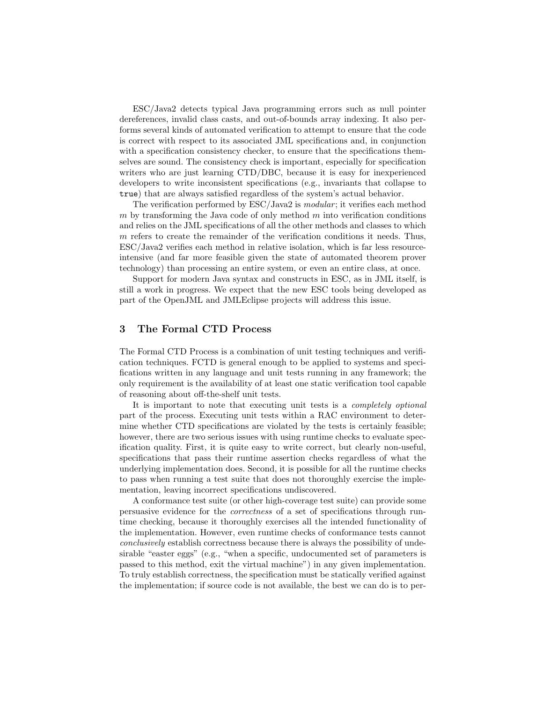ESC/Java2 detects typical Java programming errors such as null pointer dereferences, invalid class casts, and out-of-bounds array indexing. It also performs several kinds of automated verification to attempt to ensure that the code is correct with respect to its associated JML specifications and, in conjunction with a specification consistency checker, to ensure that the specifications themselves are sound. The consistency check is important, especially for specification writers who are just learning CTD/DBC, because it is easy for inexperienced developers to write inconsistent specifications (e.g., invariants that collapse to true) that are always satisfied regardless of the system's actual behavior.

The verification performed by  $ESC/Jawa2$  is  $modular$ ; it verifies each method  $m$  by transforming the Java code of only method  $m$  into verification conditions and relies on the JML specifications of all the other methods and classes to which m refers to create the remainder of the verification conditions it needs. Thus, ESC/Java2 verifies each method in relative isolation, which is far less resourceintensive (and far more feasible given the state of automated theorem prover technology) than processing an entire system, or even an entire class, at once.

Support for modern Java syntax and constructs in ESC, as in JML itself, is still a work in progress. We expect that the new ESC tools being developed as part of the OpenJML and JMLEclipse projects will address this issue.

## <span id="page-5-0"></span>3 The Formal CTD Process

The Formal CTD Process is a combination of unit testing techniques and verification techniques. FCTD is general enough to be applied to systems and specifications written in any language and unit tests running in any framework; the only requirement is the availability of at least one static verification tool capable of reasoning about off-the-shelf unit tests.

It is important to note that executing unit tests is a completely optional part of the process. Executing unit tests within a RAC environment to determine whether CTD specifications are violated by the tests is certainly feasible; however, there are two serious issues with using runtime checks to evaluate specification quality. First, it is quite easy to write correct, but clearly non-useful, specifications that pass their runtime assertion checks regardless of what the underlying implementation does. Second, it is possible for all the runtime checks to pass when running a test suite that does not thoroughly exercise the implementation, leaving incorrect specifications undiscovered.

A conformance test suite (or other high-coverage test suite) can provide some persuasive evidence for the correctness of a set of specifications through runtime checking, because it thoroughly exercises all the intended functionality of the implementation. However, even runtime checks of conformance tests cannot conclusively establish correctness because there is always the possibility of undesirable "easter eggs" (e.g., "when a specific, undocumented set of parameters is passed to this method, exit the virtual machine") in any given implementation. To truly establish correctness, the specification must be statically verified against the implementation; if source code is not available, the best we can do is to per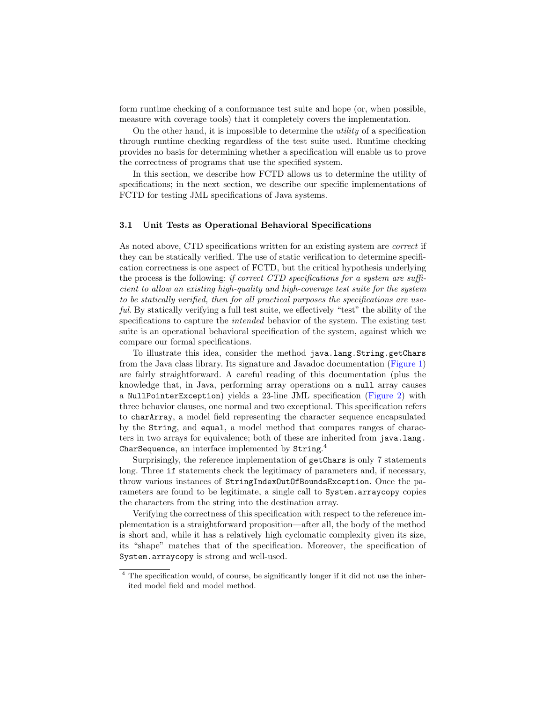form runtime checking of a conformance test suite and hope (or, when possible, measure with coverage tools) that it completely covers the implementation.

On the other hand, it is impossible to determine the utility of a specification through runtime checking regardless of the test suite used. Runtime checking provides no basis for determining whether a specification will enable us to prove the correctness of programs that use the specified system.

In this section, we describe how FCTD allows us to determine the utility of specifications; in the next section, we describe our specific implementations of FCTD for testing JML specifications of Java systems.

#### <span id="page-6-0"></span>3.1 Unit Tests as Operational Behavioral Specifications

As noted above, CTD specifications written for an existing system are correct if they can be statically verified. The use of static verification to determine specification correctness is one aspect of FCTD, but the critical hypothesis underlying the process is the following: *if correct CTD specifications for a system are suffi*cient to allow an existing high-quality and high-coverage test suite for the system to be statically verified, then for all practical purposes the specifications are useful. By statically verifying a full test suite, we effectively "test" the ability of the specifications to capture the *intended* behavior of the system. The existing test suite is an operational behavioral specification of the system, against which we compare our formal specifications.

To illustrate this idea, consider the method java.lang.String.getChars from the Java class library. Its signature and Javadoc documentation [\(Figure 1\)](#page-7-0) are fairly straightforward. A careful reading of this documentation (plus the knowledge that, in Java, performing array operations on a null array causes a NullPointerException) yields a 23-line JML specification [\(Figure 2\)](#page-7-1) with three behavior clauses, one normal and two exceptional. This specification refers to charArray, a model field representing the character sequence encapsulated by the String, and equal, a model method that compares ranges of characters in two arrays for equivalence; both of these are inherited from java.lang. CharSequence, an interface implemented by  $String.<sup>4</sup>$ 

Surprisingly, the reference implementation of getChars is only 7 statements long. Three if statements check the legitimacy of parameters and, if necessary, throw various instances of StringIndexOutOfBoundsException. Once the parameters are found to be legitimate, a single call to System.arraycopy copies the characters from the string into the destination array.

Verifying the correctness of this specification with respect to the reference implementation is a straightforward proposition—after all, the body of the method is short and, while it has a relatively high cyclomatic complexity given its size, its "shape" matches that of the specification. Moreover, the specification of System.arraycopy is strong and well-used.

<sup>4</sup> The specification would, of course, be significantly longer if it did not use the inherited model field and model method.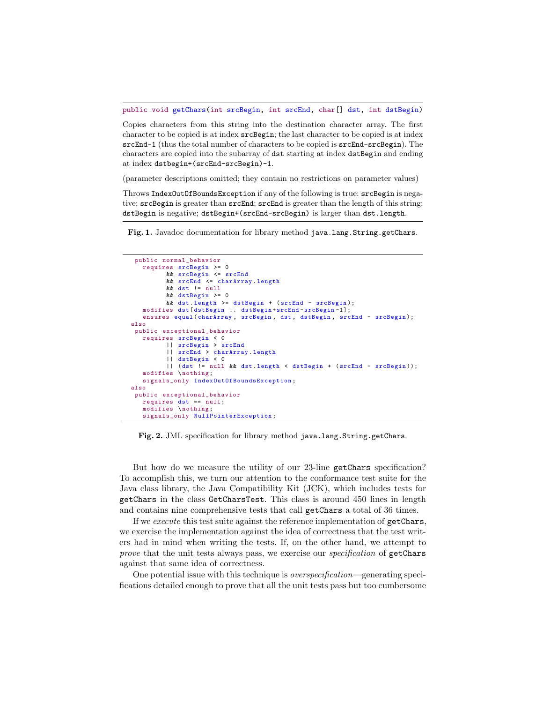public void getChars(int srcBegin, int srcEnd, char[] dst, int dstBegin)

Copies characters from this string into the destination character array. The first character to be copied is at index srcBegin; the last character to be copied is at index srcEnd-1 (thus the total number of characters to be copied is srcEnd-srcBegin). The characters are copied into the subarray of dst starting at index dstBegin and ending at index dstbegin+(srcEnd-srcBegin)-1.

(parameter descriptions omitted; they contain no restrictions on parameter values)

Throws IndexOutOfBoundsException if any of the following is true: srcBegin is negative; srcBegin is greater than srcEnd; srcEnd is greater than the length of this string; dstBegin is negative; dstBegin+(srcEnd-srcBegin) is larger than dst.length.

<span id="page-7-0"></span>Fig. 1. Javadoc documentation for library method java.lang.String.getChars.

```
public normal_behavior
   requires srcBegin >= 0
           && srcBegin <= srcEnd
           && srcEnd <= charArray . length
           && dst != null
           && dstBegin >= 0
    && dst . length >= dstBegin + ( srcEnd - srcBegin );
modifies dst [ dstBegin .. dstBegin + srcEnd - srcBegin -1];
ensures equal ( charArray , srcBegin , dst , dstBegin , srcEnd - srcBegin );
also
 public exceptional_behavior
   requires srcBegin < 0
           || srcBegin > srcEnd
           || srcEnd > charArray . length
           || dstBegin < 0
           || ( dst != null && dst . length < dstBegin + ( srcEnd - srcBegin ));
   modifies \ nothing ;
   signals_only IndexOutOfBoundsException ;
also
 public exceptional_behavior
   requires dst == null ;
   modifies \ nothing ;
   signals_only NullPointerException ;
```
<span id="page-7-1"></span>Fig. 2. JML specification for library method java.lang.String.getChars.

But how do we measure the utility of our 23-line getChars specification? To accomplish this, we turn our attention to the conformance test suite for the Java class library, the Java Compatibility Kit (JCK), which includes tests for getChars in the class GetCharsTest. This class is around 450 lines in length and contains nine comprehensive tests that call getChars a total of 36 times.

If we execute this test suite against the reference implementation of getChars, we exercise the implementation against the idea of correctness that the test writers had in mind when writing the tests. If, on the other hand, we attempt to prove that the unit tests always pass, we exercise our *specification* of getChars against that same idea of correctness.

One potential issue with this technique is overspecification—generating specifications detailed enough to prove that all the unit tests pass but too cumbersome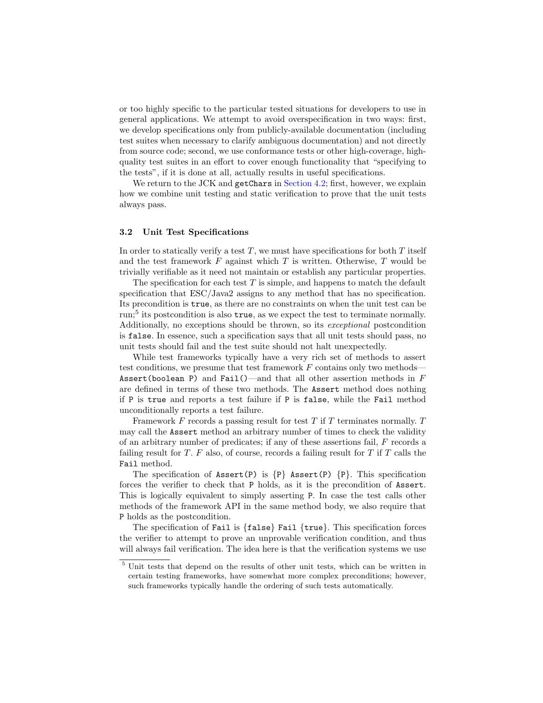or too highly specific to the particular tested situations for developers to use in general applications. We attempt to avoid overspecification in two ways: first, we develop specifications only from publicly-available documentation (including test suites when necessary to clarify ambiguous documentation) and not directly from source code; second, we use conformance tests or other high-coverage, highquality test suites in an effort to cover enough functionality that "specifying to the tests", if it is done at all, actually results in useful specifications.

We return to the JCK and getChars in [Section 4.2;](#page-11-0) first, however, we explain how we combine unit testing and static verification to prove that the unit tests always pass.

## <span id="page-8-0"></span>3.2 Unit Test Specifications

In order to statically verify a test  $T$ , we must have specifications for both  $T$  itself and the test framework  $F$  against which  $T$  is written. Otherwise,  $T$  would be trivially verifiable as it need not maintain or establish any particular properties.

The specification for each test  $T$  is simple, and happens to match the default specification that ESC/Java2 assigns to any method that has no specification. Its precondition is true, as there are no constraints on when the unit test can be run;<sup>5</sup> its postcondition is also true, as we expect the test to terminate normally. Additionally, no exceptions should be thrown, so its exceptional postcondition is false. In essence, such a specification says that all unit tests should pass, no unit tests should fail and the test suite should not halt unexpectedly.

While test frameworks typically have a very rich set of methods to assert test conditions, we presume that test framework  $F$  contains only two methods-Assert(boolean P) and Fail()—and that all other assertion methods in  $F$ are defined in terms of these two methods. The Assert method does nothing if P is true and reports a test failure if P is false, while the Fail method unconditionally reports a test failure.

Framework  $F$  records a passing result for test  $T$  if  $T$  terminates normally.  $T$ may call the Assert method an arbitrary number of times to check the validity of an arbitrary number of predicates; if any of these assertions fail, F records a failing result for  $T$ .  $F$  also, of course, records a failing result for  $T$  if  $T$  calls the Fail method.

The specification of  $\text{assert}(P)$  is  $\{P\}$  Assert $(P)$   $\{P\}$ . This specification forces the verifier to check that P holds, as it is the precondition of Assert. This is logically equivalent to simply asserting P. In case the test calls other methods of the framework API in the same method body, we also require that P holds as the postcondition.

The specification of Fail is {false} Fail {true}. This specification forces the verifier to attempt to prove an unprovable verification condition, and thus will always fail verification. The idea here is that the verification systems we use

<sup>5</sup> Unit tests that depend on the results of other unit tests, which can be written in certain testing frameworks, have somewhat more complex preconditions; however, such frameworks typically handle the ordering of such tests automatically.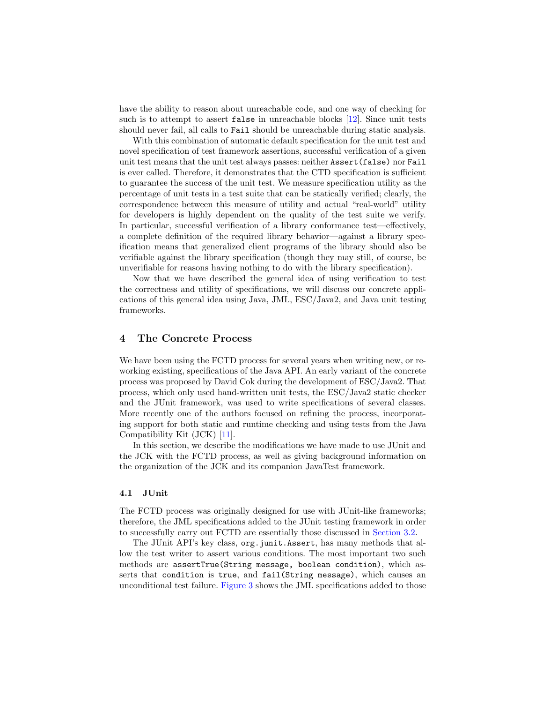have the ability to reason about unreachable code, and one way of checking for such is to attempt to assert false in unreachable blocks [\[12\]](#page-15-13). Since unit tests should never fail, all calls to Fail should be unreachable during static analysis.

With this combination of automatic default specification for the unit test and novel specification of test framework assertions, successful verification of a given unit test means that the unit test always passes: neither Assert(false) nor Fail is ever called. Therefore, it demonstrates that the CTD specification is sufficient to guarantee the success of the unit test. We measure specification utility as the percentage of unit tests in a test suite that can be statically verified; clearly, the correspondence between this measure of utility and actual "real-world" utility for developers is highly dependent on the quality of the test suite we verify. In particular, successful verification of a library conformance test—effectively, a complete definition of the required library behavior—against a library specification means that generalized client programs of the library should also be verifiable against the library specification (though they may still, of course, be unverifiable for reasons having nothing to do with the library specification).

Now that we have described the general idea of using verification to test the correctness and utility of specifications, we will discuss our concrete applications of this general idea using Java, JML, ESC/Java2, and Java unit testing frameworks.

## 4 The Concrete Process

We have been using the FCTD process for several years when writing new, or reworking existing, specifications of the Java API. An early variant of the concrete process was proposed by David Cok during the development of ESC/Java2. That process, which only used hand-written unit tests, the ESC/Java2 static checker and the JUnit framework, was used to write specifications of several classes. More recently one of the authors focused on refining the process, incorporating support for both static and runtime checking and using tests from the Java Compatibility Kit (JCK) [\[11\]](#page-15-14).

In this section, we describe the modifications we have made to use JUnit and the JCK with the FCTD process, as well as giving background information on the organization of the JCK and its companion JavaTest framework.

#### 4.1 JUnit

The FCTD process was originally designed for use with JUnit-like frameworks; therefore, the JML specifications added to the JUnit testing framework in order to successfully carry out FCTD are essentially those discussed in [Section 3.2.](#page-8-0)

The JUnit API's key class, org.junit.Assert, has many methods that allow the test writer to assert various conditions. The most important two such methods are assertTrue(String message, boolean condition), which asserts that condition is true, and fail(String message), which causes an unconditional test failure. [Figure 3](#page-10-0) shows the JML specifications added to those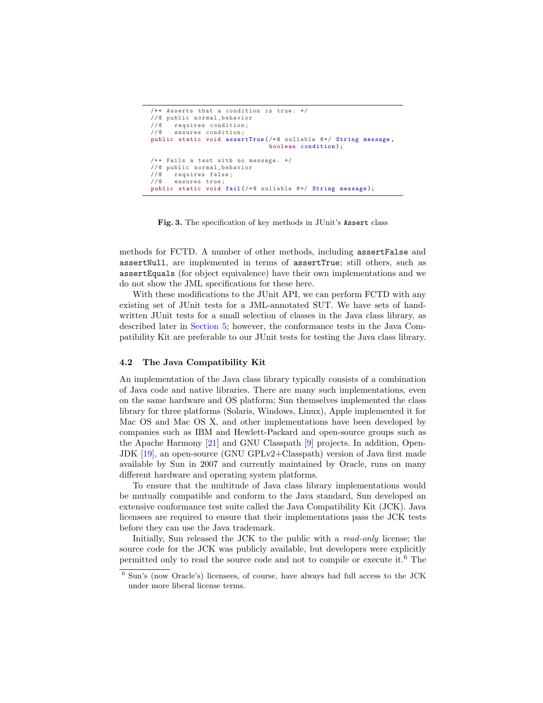```
/** Asserts that a condition is true . */
//@ public normal_behavior
//@ requires condition;<br>//@ ensures condition:
      ensures condition:
public static void assertTrue (/*@ nullable @*/ String message ,
                                   boolean condition );
/** Fails a test with no message . */
//@ public normal_behavior<br>//@   requires false:
      requires false;
//@ ensures true ;
public static void fail (/*@ nullable @*/ String message);
```
<span id="page-10-0"></span>Fig. 3. The specification of key methods in JUnit's Assert class

methods for FCTD. A number of other methods, including assertFalse and assertNull, are implemented in terms of assertTrue; still others, such as assertEquals (for object equivalence) have their own implementations and we do not show the JML specifications for these here.

With these modifications to the JUnit API, we can perform FCTD with any existing set of JUnit tests for a JML-annotated SUT. We have sets of handwritten JUnit tests for a small selection of classes in the Java class library, as described later in [Section 5;](#page-12-0) however, the conformance tests in the Java Compatibility Kit are preferable to our JUnit tests for testing the Java class library.

#### 4.2 The Java Compatibility Kit

An implementation of the Java class library typically consists of a combination of Java code and native libraries. There are many such implementations, even on the same hardware and OS platform; Sun themselves implemented the class library for three platforms (Solaris, Windows, Linux), Apple implemented it for Mac OS and Mac OS X, and other implementations have been developed by companies such as IBM and Hewlett-Packard and open-source groups such as the Apache Harmony [\[21\]](#page-15-15) and GNU Classpath [\[9\]](#page-15-16) projects. In addition, Open-JDK [\[19\]](#page-15-6), an open-source (GNU GPLv2+Classpath) version of Java first made available by Sun in 2007 and currently maintained by Oracle, runs on many different hardware and operating system platforms.

To ensure that the multitude of Java class library implementations would be mutually compatible and conform to the Java standard, Sun developed an extensive conformance test suite called the Java Compatibility Kit (JCK). Java licensees are required to ensure that their implementations pass the JCK tests before they can use the Java trademark.

Initially, Sun released the JCK to the public with a *read-only* license; the source code for the JCK was publicly available, but developers were explicitly permitted only to read the source code and not to compile or execute it.<sup>6</sup> The

<sup>6</sup> Sun's (now Oracle's) licensees, of course, have always had full access to the JCK under more liberal license terms.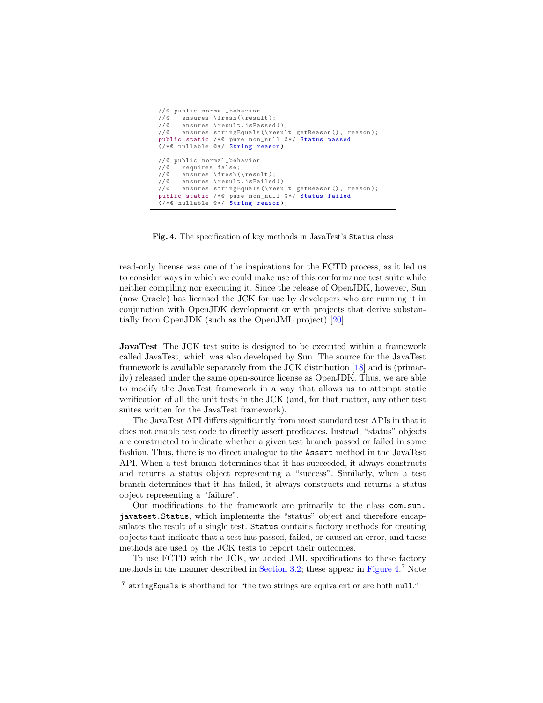```
//@ public normal_behavior<br>//@ ensures \fresh(\resu
//@ ensures \fresh(\result);<br>//@ ensures \result.isPassed
//@ ensures \ result . isPassed ();
      ensures stringEquals (\result . getReason (), reason);
public static /*@ pure non_null @*/ Status passed
(/*@ nullable @*/ String reason );
//@ public normal_behavior
//@ requires false;<br>//@ ensures \fresh(
       ensures \fresh(\result);
//@ ensures \ result . isFailed ();
      ensures stringEquals (\result.getReason(), reason);
public static /*@ pure non_null @*/ Status failed
(/*@ nullable @*/ String reason );
```
<span id="page-11-1"></span>Fig. 4. The specification of key methods in JavaTest's Status class

read-only license was one of the inspirations for the FCTD process, as it led us to consider ways in which we could make use of this conformance test suite while neither compiling nor executing it. Since the release of OpenJDK, however, Sun (now Oracle) has licensed the JCK for use by developers who are running it in conjunction with OpenJDK development or with projects that derive substantially from OpenJDK (such as the OpenJML project) [\[20\]](#page-15-17).

<span id="page-11-0"></span>JavaTest The JCK test suite is designed to be executed within a framework called JavaTest, which was also developed by Sun. The source for the JavaTest framework is available separately from the JCK distribution [\[18\]](#page-15-18) and is (primarily) released under the same open-source license as OpenJDK. Thus, we are able to modify the JavaTest framework in a way that allows us to attempt static verification of all the unit tests in the JCK (and, for that matter, any other test suites written for the JavaTest framework).

The JavaTest API differs significantly from most standard test APIs in that it does not enable test code to directly assert predicates. Instead, "status" objects are constructed to indicate whether a given test branch passed or failed in some fashion. Thus, there is no direct analogue to the Assert method in the JavaTest API. When a test branch determines that it has succeeded, it always constructs and returns a status object representing a "success". Similarly, when a test branch determines that it has failed, it always constructs and returns a status object representing a "failure".

Our modifications to the framework are primarily to the class com.sun. javatest.Status, which implements the "status" object and therefore encapsulates the result of a single test. Status contains factory methods for creating objects that indicate that a test has passed, failed, or caused an error, and these methods are used by the JCK tests to report their outcomes.

To use FCTD with the JCK, we added JML specifications to these factory methods in the manner described in [Section 3.2;](#page-8-0) these appear in [Figure 4.](#page-11-1)<sup>7</sup> Note

 $7$  stringEquals is shorthand for "the two strings are equivalent or are both null."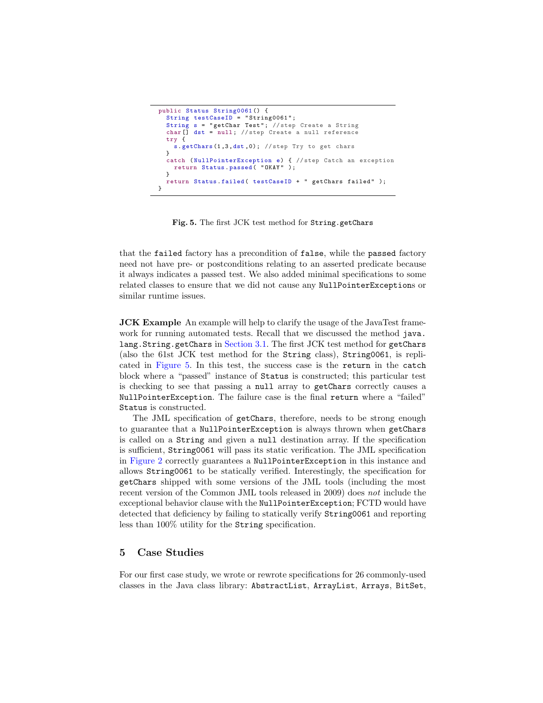```
public Status String0061 () {
  String testCaseID = " String0061 ";
   String s = " getChar Test " ; // step Create a String
char [] dst = null ; // step Create a null reference
  try {
     s.getChars (1,3, \text{dst}, 0); //step Try to get chars
  \mathbf{r}catch ( NullPointerException e) { // step Catch an exception
     return Status . passed ( " OKAY " );
   }<br>return Status.failed( testCaseID + " getChars failed" );
}
```
<span id="page-12-1"></span>Fig. 5. The first JCK test method for String.getChars

that the failed factory has a precondition of false, while the passed factory need not have pre- or postconditions relating to an asserted predicate because it always indicates a passed test. We also added minimal specifications to some related classes to ensure that we did not cause any NullPointerExceptions or similar runtime issues.

**JCK Example** An example will help to clarify the usage of the JavaTest framework for running automated tests. Recall that we discussed the method java. lang.String.getChars in [Section 3.1.](#page-6-0) The first JCK test method for getChars (also the 61st JCK test method for the String class), String0061, is replicated in [Figure 5.](#page-12-1) In this test, the success case is the return in the catch block where a "passed" instance of Status is constructed; this particular test is checking to see that passing a null array to getChars correctly causes a NullPointerException. The failure case is the final return where a "failed" Status is constructed.

The JML specification of getChars, therefore, needs to be strong enough to guarantee that a NullPointerException is always thrown when getChars is called on a String and given a null destination array. If the specification is sufficient, String0061 will pass its static verification. The JML specification in [Figure 2](#page-7-1) correctly guarantees a NullPointerException in this instance and allows String0061 to be statically verified. Interestingly, the specification for getChars shipped with some versions of the JML tools (including the most recent version of the Common JML tools released in 2009) does not include the exceptional behavior clause with the NullPointerException; FCTD would have detected that deficiency by failing to statically verify String0061 and reporting less than 100% utility for the String specification.

## <span id="page-12-0"></span>5 Case Studies

For our first case study, we wrote or rewrote specifications for 26 commonly-used classes in the Java class library: AbstractList, ArrayList, Arrays, BitSet,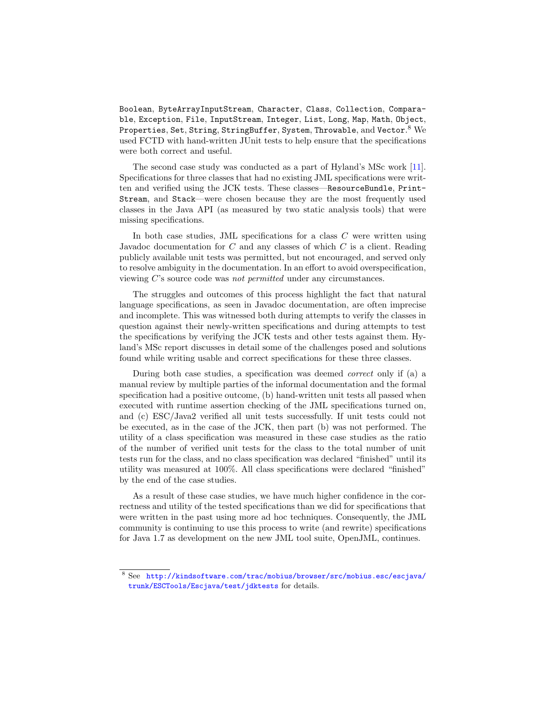Boolean, ByteArrayInputStream, Character, Class, Collection, Comparable, Exception, File, InputStream, Integer, List, Long, Map, Math, Object, Properties, Set, String, StringBuffer, System, Throwable,  $\mathrm{and}\ \mathtt{Vector}.^8\ \mathtt{We}$ used FCTD with hand-written JUnit tests to help ensure that the specifications were both correct and useful.

The second case study was conducted as a part of Hyland's MSc work [\[11\]](#page-15-14). Specifications for three classes that had no existing JML specifications were written and verified using the JCK tests. These classes—ResourceBundle, Print-Stream, and Stack—were chosen because they are the most frequently used classes in the Java API (as measured by two static analysis tools) that were missing specifications.

In both case studies, JML specifications for a class C were written using Javadoc documentation for  $C$  and any classes of which  $C$  is a client. Reading publicly available unit tests was permitted, but not encouraged, and served only to resolve ambiguity in the documentation. In an effort to avoid overspecification, viewing C's source code was not permitted under any circumstances.

The struggles and outcomes of this process highlight the fact that natural language specifications, as seen in Javadoc documentation, are often imprecise and incomplete. This was witnessed both during attempts to verify the classes in question against their newly-written specifications and during attempts to test the specifications by verifying the JCK tests and other tests against them. Hyland's MSc report discusses in detail some of the challenges posed and solutions found while writing usable and correct specifications for these three classes.

During both case studies, a specification was deemed correct only if (a) a manual review by multiple parties of the informal documentation and the formal specification had a positive outcome, (b) hand-written unit tests all passed when executed with runtime assertion checking of the JML specifications turned on, and (c) ESC/Java2 verified all unit tests successfully. If unit tests could not be executed, as in the case of the JCK, then part (b) was not performed. The utility of a class specification was measured in these case studies as the ratio of the number of verified unit tests for the class to the total number of unit tests run for the class, and no class specification was declared "finished" until its utility was measured at 100%. All class specifications were declared "finished" by the end of the case studies.

As a result of these case studies, we have much higher confidence in the correctness and utility of the tested specifications than we did for specifications that were written in the past using more ad hoc techniques. Consequently, the JML community is continuing to use this process to write (and rewrite) specifications for Java 1.7 as development on the new JML tool suite, OpenJML, continues.

<sup>8</sup> See [http://kindsoftware.com/trac/mobius/browser/src/mobius.esc/escjava/](http://kindsoftware.com/trac/mobius/browser/src/mobius.esc/escjava/trunk/ESCTools/Escjava/test/jdktests) [trunk/ESCTools/Escjava/test/jdktests](http://kindsoftware.com/trac/mobius/browser/src/mobius.esc/escjava/trunk/ESCTools/Escjava/test/jdktests) for details.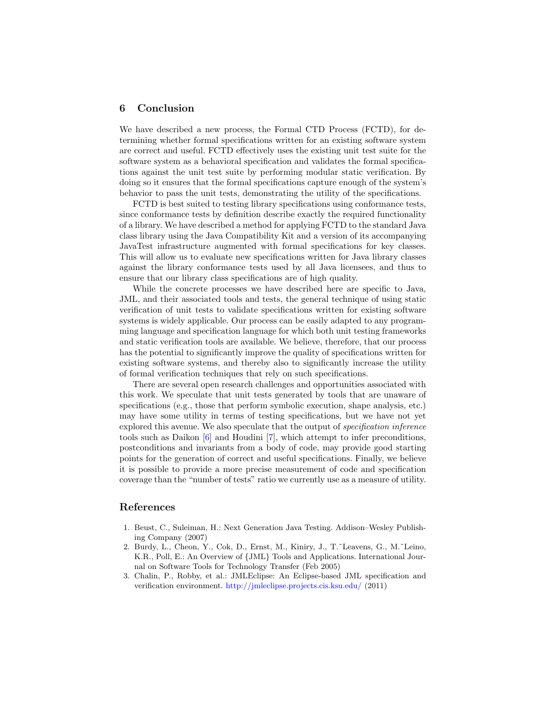# 6 Conclusion

We have described a new process, the Formal CTD Process (FCTD), for determining whether formal specifications written for an existing software system are correct and useful. FCTD effectively uses the existing unit test suite for the software system as a behavioral specification and validates the formal specifications against the unit test suite by performing modular static verification. By doing so it ensures that the formal specifications capture enough of the system's behavior to pass the unit tests, demonstrating the utility of the specifications.

FCTD is best suited to testing library specifications using conformance tests, since conformance tests by definition describe exactly the required functionality of a library. We have described a method for applying FCTD to the standard Java class library using the Java Compatibility Kit and a version of its accompanying JavaTest infrastructure augmented with formal specifications for key classes. This will allow us to evaluate new specifications written for Java library classes against the library conformance tests used by all Java licensees, and thus to ensure that our library class specifications are of high quality.

While the concrete processes we have described here are specific to Java, JML, and their associated tools and tests, the general technique of using static verification of unit tests to validate specifications written for existing software systems is widely applicable. Our process can be easily adapted to any programming language and specification language for which both unit testing frameworks and static verification tools are available. We believe, therefore, that our process has the potential to significantly improve the quality of specifications written for existing software systems, and thereby also to significantly increase the utility of formal verification techniques that rely on such specifications.

There are several open research challenges and opportunities associated with this work. We speculate that unit tests generated by tools that are unaware of specifications (e.g., those that perform symbolic execution, shape analysis, etc.) may have some utility in terms of testing specifications, but we have not yet explored this avenue. We also speculate that the output of specification inference tools such as Daikon  $[6]$  and Houdini  $[7]$ , which attempt to infer preconditions, postconditions and invariants from a body of code, may provide good starting points for the generation of correct and useful specifications. Finally, we believe it is possible to provide a more precise measurement of code and specification coverage than the "number of tests" ratio we currently use as a measure of utility.

# References

- <span id="page-14-2"></span>1. Beust, C., Suleiman, H.: Next Generation Java Testing. Addison–Wesley Publishing Company (2007)
- <span id="page-14-0"></span>2. Burdy, L., Cheon, Y., Cok, D., Ernst, M., Kiniry, J., T.˜Leavens, G., M.˜Leino, K.R., Poll, E.: An Overview of {JML} Tools and Applications. International Journal on Software Tools for Technology Transfer (Feb 2005)
- <span id="page-14-1"></span>3. Chalin, P., Robby, et al.: JMLEclipse: An Eclipse-based JML specification and verification environment. <http://jmleclipse.projects.cis.ksu.edu/> (2011)